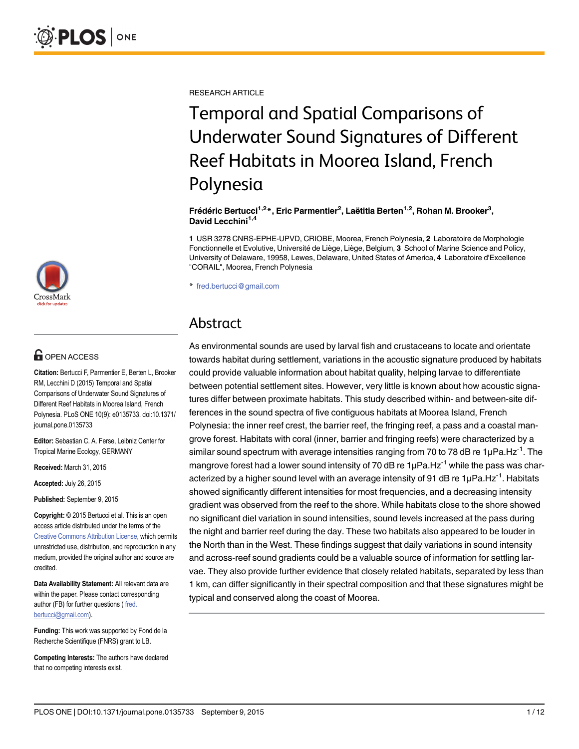RESEARCH ARTICLE

# Temporal and Spatial Comparisons of Underwater Sound Signatures of Different Reef Habitats in Moorea Island, French Polynesia

Frédéric Bertucci<sup>1,2</sup>\*, Eric Parmentier<sup>2</sup>, Laëtitia Berten<sup>1,2</sup>, Rohan M. Brooker<sup>3</sup>, David Lecchini<sup>1,4</sup>

1 USR 3278 CNRS-EPHE-UPVD, CRIOBE, Moorea, French Polynesia, 2 Laboratoire de Morphologie Fonctionnelle et Evolutive, Université de Liège, Liège, Belgium, 3 School of Marine Science and Policy, University of Delaware, 19958, Lewes, Delaware, United States of America, 4 Laboratoire d'Excellence "CORAIL", Moorea, French Polynesia

\* fred.bertucci@gmail.com

### Abstract

As environmental sounds are used by larval fish and crustaceans to locate and orientate towards habitat during settlement, variations in the acoustic signature produced by habitats could provide valuable information about habitat quality, helping larvae to differentiate between potential settlement sites. However, very little is known about how acoustic signatures differ between proximate habitats. This study described within- and between-site differences in the sound spectra of five contiguous habitats at Moorea Island, French Polynesia: the inner reef crest, the barrier reef, the fringing reef, a pass and a coastal mangrove forest. Habitats with coral (inner, barrier and fringing reefs) were characterized by a similar sound spectrum with average intensities ranging from 70 to 78 dB re 1µPa.Hz<sup>-1</sup>. The mangrove forest had a lower sound intensity of 70 dB re  $1\mu Pa.Hz^{-1}$  while the pass was characterized by a higher sound level with an average intensity of 91 dB re  $1\mu Pa.Hz^{-1}$ . Habitats showed significantly different intensities for most frequencies, and a decreasing intensity gradient was observed from the reef to the shore. While habitats close to the shore showed no significant diel variation in sound intensities, sound levels increased at the pass during the night and barrier reef during the day. These two habitats also appeared to be louder in the North than in the West. These findings suggest that daily variations in sound intensity and across-reef sound gradients could be a valuable source of information for settling larvae. They also provide further evidence that closely related habitats, separated by less than 1 km, can differ significantly in their spectral composition and that these signatures might be typical and conserved along the coast of Moorea.



## **OPEN ACCESS**

Citation: Bertucci F, Parmentier E, Berten L, Brooker RM, Lecchini D (2015) Temporal and Spatial Comparisons of Underwater Sound Signatures of Different Reef Habitats in Moorea Island, French Polynesia. PLoS ONE 10(9): e0135733. doi:10.1371/ journal.pone.0135733

Editor: Sebastian C. A. Ferse, Leibniz Center for Tropical Marine Ecology, GERMANY

Received: March 31, 2015

Accepted: July 26, 2015

Published: September 9, 2015

Copyright: © 2015 Bertucci et al. This is an open access article distributed under the terms of the [Creative Commons Attribution License,](http://creativecommons.org/licenses/by/4.0/) which permits unrestricted use, distribution, and reproduction in any medium, provided the original author and source are credited.

Data Availability Statement: All relevant data are within the paper. Please contact corresponding author (FB) for further questions ( fred. bertucci@gmail.com).

Funding: This work was supported by Fond de la Recherche Scientifique (FNRS) grant to LB.

Competing Interests: The authors have declared that no competing interests exist.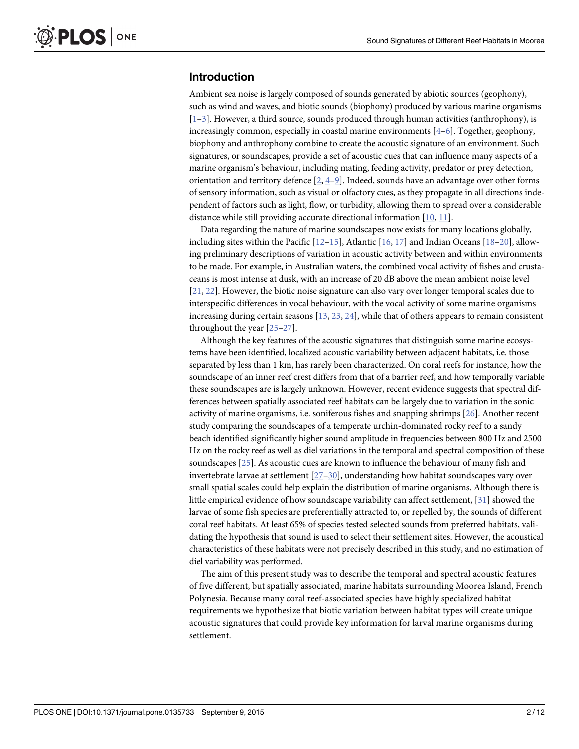#### <span id="page-1-0"></span>Introduction

Ambient sea noise is largely composed of sounds generated by abiotic sources (geophony), such as wind and waves, and biotic sounds (biophony) produced by various marine organisms  $[1–3]$  $[1–3]$  $[1–3]$  $[1–3]$ . However, a third source, sounds produced through human activities (anthrophony), is increasingly common, especially in coastal marine environments  $[4-6]$  $[4-6]$  $[4-6]$  $[4-6]$ . Together, geophony, biophony and anthrophony combine to create the acoustic signature of an environment. Such signatures, or soundscapes, provide a set of acoustic cues that can influence many aspects of a marine organism's behaviour, including mating, feeding activity, predator or prey detection, orientation and territory defence  $[2, 4-9]$  $[2, 4-9]$  $[2, 4-9]$  $[2, 4-9]$  $[2, 4-9]$  $[2, 4-9]$ . Indeed, sounds have an advantage over other forms of sensory information, such as visual or olfactory cues, as they propagate in all directions independent of factors such as light, flow, or turbidity, allowing them to spread over a considerable distance while still providing accurate directional information [\[10,](#page-10-0) [11\]](#page-10-0).

Data regarding the nature of marine soundscapes now exists for many locations globally, including sites within the Pacific  $[12-15]$  $[12-15]$  $[12-15]$  $[12-15]$ , Atlantic  $[16, 17]$  $[16, 17]$  $[16, 17]$  $[16, 17]$  $[16, 17]$  and Indian Oceans  $[18-20]$  $[18-20]$  $[18-20]$  $[18-20]$ , allowing preliminary descriptions of variation in acoustic activity between and within environments to be made. For example, in Australian waters, the combined vocal activity of fishes and crustaceans is most intense at dusk, with an increase of 20 dB above the mean ambient noise level [\[21](#page-10-0), [22](#page-10-0)]. However, the biotic noise signature can also vary over longer temporal scales due to interspecific differences in vocal behaviour, with the vocal activity of some marine organisms increasing during certain seasons [[13,](#page-10-0) [23,](#page-10-0) [24\]](#page-10-0), while that of others appears to remain consistent throughout the year [[25](#page-10-0)–[27\]](#page-10-0).

Although the key features of the acoustic signatures that distinguish some marine ecosystems have been identified, localized acoustic variability between adjacent habitats, i.e. those separated by less than 1 km, has rarely been characterized. On coral reefs for instance, how the soundscape of an inner reef crest differs from that of a barrier reef, and how temporally variable these soundscapes are is largely unknown. However, recent evidence suggests that spectral differences between spatially associated reef habitats can be largely due to variation in the sonic activity of marine organisms, i.e. soniferous fishes and snapping shrimps [\[26](#page-10-0)]. Another recent study comparing the soundscapes of a temperate urchin-dominated rocky reef to a sandy beach identified significantly higher sound amplitude in frequencies between 800 Hz and 2500 Hz on the rocky reef as well as diel variations in the temporal and spectral composition of these soundscapes [\[25\]](#page-10-0). As acoustic cues are known to influence the behaviour of many fish and invertebrate larvae at settlement  $[27–30]$  $[27–30]$  $[27–30]$ , understanding how habitat soundscapes vary over small spatial scales could help explain the distribution of marine organisms. Although there is little empirical evidence of how soundscape variability can affect settlement, [\[31\]](#page-11-0) showed the larvae of some fish species are preferentially attracted to, or repelled by, the sounds of different coral reef habitats. At least 65% of species tested selected sounds from preferred habitats, validating the hypothesis that sound is used to select their settlement sites. However, the acoustical characteristics of these habitats were not precisely described in this study, and no estimation of diel variability was performed.

The aim of this present study was to describe the temporal and spectral acoustic features of five different, but spatially associated, marine habitats surrounding Moorea Island, French Polynesia. Because many coral reef-associated species have highly specialized habitat requirements we hypothesize that biotic variation between habitat types will create unique acoustic signatures that could provide key information for larval marine organisms during settlement.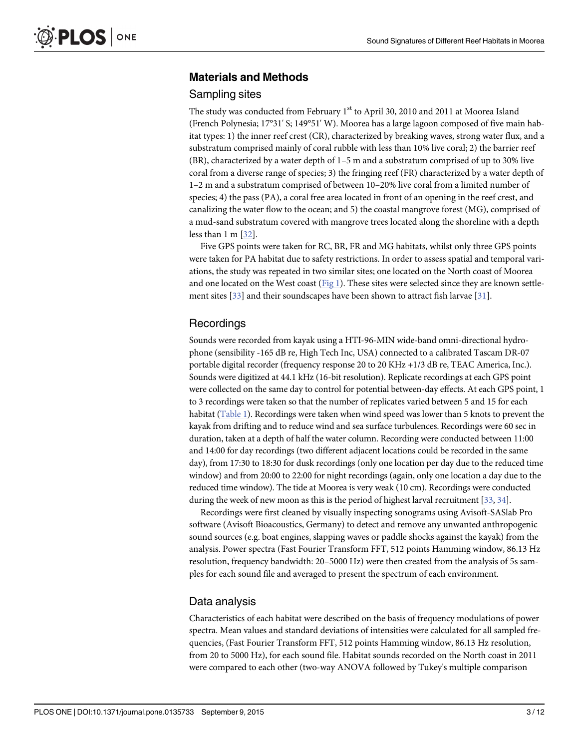#### <span id="page-2-0"></span>Materials and Methods

#### Sampling sites

The study was conducted from February 1<sup>st</sup> to April 30, 2010 and 2011 at Moorea Island (French Polynesia; 17°31' S; 149°51' W). Moorea has a large lagoon composed of five main habitat types: 1) the inner reef crest (CR), characterized by breaking waves, strong water flux, and a substratum comprised mainly of coral rubble with less than 10% live coral; 2) the barrier reef (BR), characterized by a water depth of 1–5 m and a substratum comprised of up to 30% live coral from a diverse range of species; 3) the fringing reef (FR) characterized by a water depth of 1–2 m and a substratum comprised of between 10–20% live coral from a limited number of species; 4) the pass (PA), a coral free area located in front of an opening in the reef crest, and canalizing the water flow to the ocean; and 5) the coastal mangrove forest (MG), comprised of a mud-sand substratum covered with mangrove trees located along the shoreline with a depth less than  $1 \text{ m}$   $\left[\frac{32}{.}\right]$ .

Five GPS points were taken for RC, BR, FR and MG habitats, whilst only three GPS points were taken for PA habitat due to safety restrictions. In order to assess spatial and temporal variations, the study was repeated in two similar sites; one located on the North coast of Moorea and one located on the West coast [\(Fig 1\)](#page-3-0). These sites were selected since they are known settle-ment sites [[33](#page-11-0)] and their soundscapes have been shown to attract fish larvae [\[31\]](#page-11-0).

#### **Recordings**

Sounds were recorded from kayak using a HTI-96-MIN wide-band omni-directional hydrophone (sensibility -165 dB re, High Tech Inc, USA) connected to a calibrated Tascam DR-07 portable digital recorder (frequency response 20 to 20 KHz +1/3 dB re, TEAC America, Inc.). Sounds were digitized at 44.1 kHz (16-bit resolution). Replicate recordings at each GPS point were collected on the same day to control for potential between-day effects. At each GPS point, 1 to 3 recordings were taken so that the number of replicates varied between 5 and 15 for each habitat ([Table 1\)](#page-4-0). Recordings were taken when wind speed was lower than 5 knots to prevent the kayak from drifting and to reduce wind and sea surface turbulences. Recordings were 60 sec in duration, taken at a depth of half the water column. Recording were conducted between 11:00 and 14:00 for day recordings (two different adjacent locations could be recorded in the same day), from 17:30 to 18:30 for dusk recordings (only one location per day due to the reduced time window) and from 20:00 to 22:00 for night recordings (again, only one location a day due to the reduced time window). The tide at Moorea is very weak (10 cm). Recordings were conducted during the week of new moon as this is the period of highest larval recruitment [\[33](#page-11-0), [34](#page-11-0)].

Recordings were first cleaned by visually inspecting sonograms using Avisoft-SASlab Pro software (Avisoft Bioacoustics, Germany) to detect and remove any unwanted anthropogenic sound sources (e.g. boat engines, slapping waves or paddle shocks against the kayak) from the analysis. Power spectra (Fast Fourier Transform FFT, 512 points Hamming window, 86.13 Hz resolution, frequency bandwidth: 20–5000 Hz) were then created from the analysis of 5s samples for each sound file and averaged to present the spectrum of each environment.

#### Data analysis

Characteristics of each habitat were described on the basis of frequency modulations of power spectra. Mean values and standard deviations of intensities were calculated for all sampled frequencies, (Fast Fourier Transform FFT, 512 points Hamming window, 86.13 Hz resolution, from 20 to 5000 Hz), for each sound file. Habitat sounds recorded on the North coast in 2011 were compared to each other (two-way ANOVA followed by Tukey's multiple comparison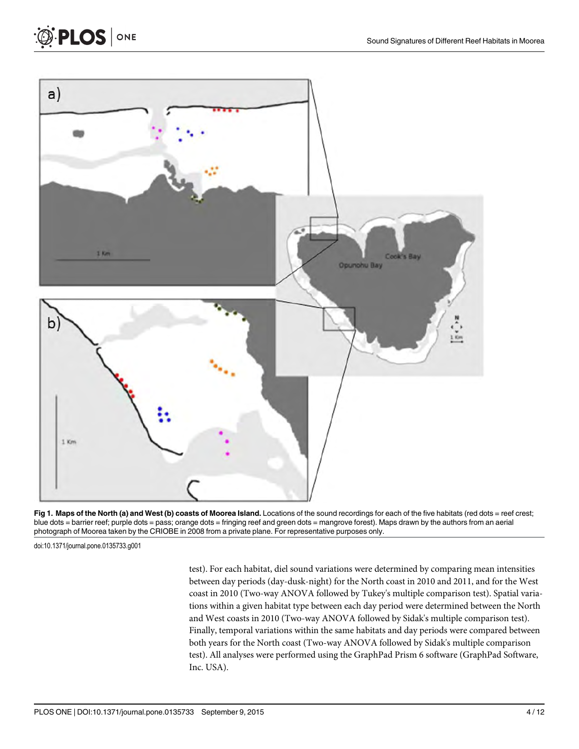



doi:10.1371/journal.pone.0135733.g001

<span id="page-3-0"></span>**PLOS** ONE

test). For each habitat, diel sound variations were determined by comparing mean intensities between day periods (day-dusk-night) for the North coast in 2010 and 2011, and for the West coast in 2010 (Two-way ANOVA followed by Tukey's multiple comparison test). Spatial variations within a given habitat type between each day period were determined between the North and West coasts in 2010 (Two-way ANOVA followed by Sidak's multiple comparison test). Finally, temporal variations within the same habitats and day periods were compared between both years for the North coast (Two-way ANOVA followed by Sidak's multiple comparison test). All analyses were performed using the GraphPad Prism 6 software (GraphPad Software, Inc. USA).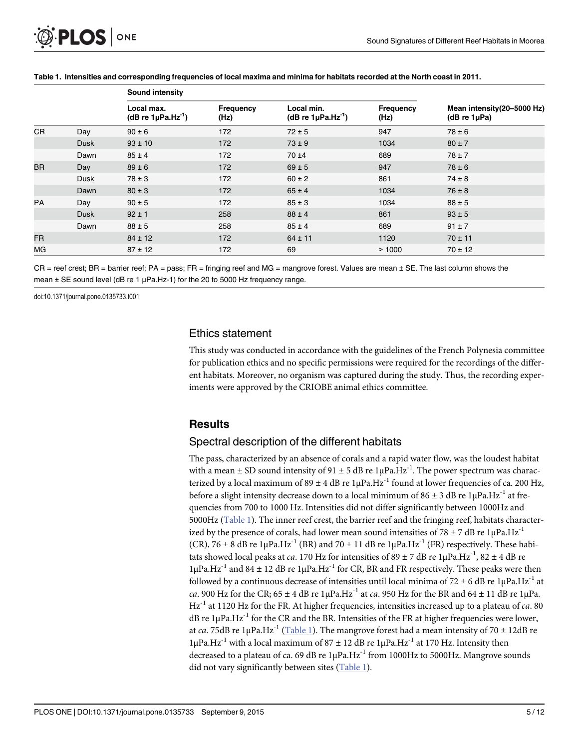|           |             | Sound intensity                                   |                   |                                                   |                   |                                                     |
|-----------|-------------|---------------------------------------------------|-------------------|---------------------------------------------------|-------------------|-----------------------------------------------------|
|           |             | Local max.<br>(dB re $1\mu$ Pa.Hz <sup>-1</sup> ) | Frequency<br>(Hz) | Local min.<br>(dB re $1\mu$ Pa.Hz <sup>-1</sup> ) | Frequency<br>(Hz) | Mean intensity(20-5000 Hz)<br>( $dB$ re 1 $\mu$ Pa) |
| <b>CR</b> | Day         | $90 \pm 6$                                        | 172               | $72 \pm 5$                                        | 947               | $78 \pm 6$                                          |
|           | Dusk        | $93 \pm 10$                                       | 172               | $73 \pm 9$                                        | 1034              | $80 \pm 7$                                          |
|           | Dawn        | $85 \pm 4$                                        | 172               | $70 + 4$                                          | 689               | $78 \pm 7$                                          |
| <b>BR</b> | Day         | $89 \pm 6$                                        | 172               | $69 \pm 5$                                        | 947               | $78 \pm 6$                                          |
|           | Dusk        | $78 \pm 3$                                        | 172               | $60 \pm 2$                                        | 861               | $74 \pm 8$                                          |
|           | Dawn        | $80 \pm 3$                                        | 172               | $65 \pm 4$                                        | 1034              | $76 \pm 8$                                          |
| <b>PA</b> | Day         | $90 \pm 5$                                        | 172               | $85 \pm 3$                                        | 1034              | $88 \pm 5$                                          |
|           | <b>Dusk</b> | $92 \pm 1$                                        | 258               | $88 \pm 4$                                        | 861               | $93 \pm 5$                                          |
|           | Dawn        | $88 \pm 5$                                        | 258               | $85 \pm 4$                                        | 689               | $91 \pm 7$                                          |
| FR.       |             | $84 \pm 12$                                       | 172               | $64 \pm 11$                                       | 1120              | $70 \pm 11$                                         |
| МG        |             | $87 \pm 12$                                       | 172               | 69                                                | >1000             | $70 \pm 12$                                         |

#### <span id="page-4-0"></span>[Table 1.](#page-2-0) Intensities and corresponding frequencies of local maxima and minima for habitats recorded at the North coast in 2011.

CR = reef crest; BR = barrier reef; PA = pass; FR = fringing reef and MG = mangrove forest. Values are mean ± SE. The last column shows the mean ± SE sound level (dB re 1 μPa.Hz-1) for the 20 to 5000 Hz frequency range.

doi:10.1371/journal.pone.0135733.t001

#### Ethics statement

This study was conducted in accordance with the guidelines of the French Polynesia committee for publication ethics and no specific permissions were required for the recordings of the different habitats. Moreover, no organism was captured during the study. Thus, the recording experiments were approved by the CRIOBE animal ethics committee.

#### **Results**

#### Spectral description of the different habitats

The pass, characterized by an absence of corals and a rapid water flow, was the loudest habitat with a mean  $\pm$  SD sound intensity of 91  $\pm$  5 dB re 1µPa.Hz<sup>-1</sup>. The power spectrum was characterized by a local maximum of  $89 \pm 4$  dB re 1µPa.Hz<sup>-1</sup> found at lower frequencies of ca. 200 Hz, before a slight intensity decrease down to a local minimum of  $86 \pm 3$  dB re  $1\mu$ Pa.Hz<sup>-1</sup> at frequencies from 700 to 1000 Hz. Intensities did not differ significantly between 1000Hz and 5000Hz (Table 1). The inner reef crest, the barrier reef and the fringing reef, habitats characterized by the presence of corals, had lower mean sound intensities of 78  $\pm$  7 dB re 1µPa.Hz<sup>-1</sup> (CR), 76  $\pm$  8 dB re 1µPa.Hz<sup>-1</sup> (BR) and 70  $\pm$  11 dB re 1µPa.Hz<sup>-1</sup> (FR) respectively. These habitats showed local peaks at *ca*. 170 Hz for intensities of  $89 \pm 7$  dB re  $1\mu$ Pa.Hz<sup>-1</sup>,  $82 \pm 4$  dB re  $1μPa.Hz<sup>-1</sup>$  and  $84 ± 12 dB$  re  $1μPa.Hz<sup>-1</sup>$  for CR, BR and FR respectively. These peaks were then followed by a continuous decrease of intensities until local minima of 72  $\pm$  6 dB re 1µPa.Hz<sup>-1</sup> at ca. 900 Hz for the CR;  $65 \pm 4$  dB re  $1\mu$ Pa.Hz<sup>-1</sup> at ca. 950 Hz for the BR and  $64 \pm 11$  dB re  $1\mu$ Pa.  $Hz^{-1}$  at 1120 Hz for the FR. At higher frequencies, intensities increased up to a plateau of *ca*. 80 dB re  $1\mu$ Pa.Hz<sup>-1</sup> for the CR and the BR. Intensities of the FR at higher frequencies were lower, at ca. 75dB re 1µPa.Hz<sup>-1</sup> (Table 1). The mangrove forest had a mean intensity of 70  $\pm$  12dB re  $1\mu Pa.Hz^{-1}$  with a local maximum of  $87 \pm 12$  dB re  $1\mu Pa.Hz^{-1}$  at 170 Hz. Intensity then decreased to a plateau of ca. 69 dB re  $1\mu Pa.Hz^{-1}$  from 1000Hz to 5000Hz. Mangrove sounds did not vary significantly between sites (Table 1).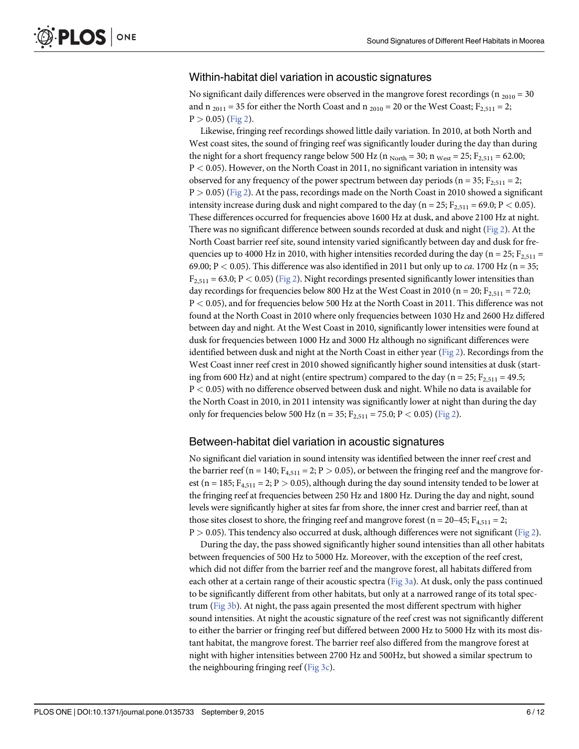#### <span id="page-5-0"></span>Within-habitat diel variation in acoustic signatures

No significant daily differences were observed in the mangrove forest recordings (n  $_{2010}$  = 30 and n  $_{2011}$  = 35 for either the North Coast and n  $_{2010}$  = 20 or the West Coast; F<sub>2,511</sub> = 2;  $P > 0.05$ ) [\(Fig 2\)](#page-6-0).

Likewise, fringing reef recordings showed little daily variation. In 2010, at both North and West coast sites, the sound of fringing reef was significantly louder during the day than during the night for a short frequency range below 500 Hz ( $n_{\text{North}} = 30$ ;  $n_{\text{West}} = 25$ ;  $F_{2,511} = 62.00$ ; P < 0.05). However, on the North Coast in 2011, no significant variation in intensity was observed for any frequency of the power spectrum between day periods (n = 35;  $F_{2:511}$  = 2;  $P > 0.05$ ) [\(Fig 2](#page-6-0)). At the pass, recordings made on the North Coast in 2010 showed a significant intensity increase during dusk and night compared to the day ( $n = 25$ ;  $F_{2,511} = 69.0$ ;  $P < 0.05$ ). These differences occurred for frequencies above 1600 Hz at dusk, and above 2100 Hz at night. There was no significant difference between sounds recorded at dusk and night ( $Fig 2$ ). At the North Coast barrier reef site, sound intensity varied significantly between day and dusk for frequencies up to 4000 Hz in 2010, with higher intensities recorded during the day (n = 25; F<sub>2,511</sub> = 69.00; P  $<$  0.05). This difference was also identified in 2011 but only up to *ca*. 1700 Hz (n = 35;  $F_{2,511}$  = 63.0; P < 0.05) ([Fig 2](#page-6-0)). Night recordings presented significantly lower intensities than day recordings for frequencies below 800 Hz at the West Coast in 2010 (n = 20;  $F_{2,511}$  = 72.0; P < 0.05), and for frequencies below 500 Hz at the North Coast in 2011. This difference was not found at the North Coast in 2010 where only frequencies between 1030 Hz and 2600 Hz differed between day and night. At the West Coast in 2010, significantly lower intensities were found at dusk for frequencies between 1000 Hz and 3000 Hz although no significant differences were identified between dusk and night at the North Coast in either year [\(Fig 2\)](#page-6-0). Recordings from the West Coast inner reef crest in 2010 showed significantly higher sound intensities at dusk (starting from 600 Hz) and at night (entire spectrum) compared to the day ( $n = 25$ ;  $F_{2,511} = 49.5$ ; P < 0.05) with no difference observed between dusk and night. While no data is available for the North Coast in 2010, in 2011 intensity was significantly lower at night than during the day only for frequencies below 500 Hz (n = 35;  $F_{2,511}$  = 75.0; P < 0.05) [\(Fig 2](#page-6-0)).

#### Between-habitat diel variation in acoustic signatures

No significant diel variation in sound intensity was identified between the inner reef crest and the barrier reef (n = 140;  $F_{4,511}$  = 2; P > 0.05), or between the fringing reef and the mangrove forest ( $n = 185$ ;  $F_{4,511} = 2$ ;  $P > 0.05$ ), although during the day sound intensity tended to be lower at the fringing reef at frequencies between 250 Hz and 1800 Hz. During the day and night, sound levels were significantly higher at sites far from shore, the inner crest and barrier reef, than at those sites closest to shore, the fringing reef and mangrove forest ( $n = 20-45$ ;  $F_{4,511} = 2$ ;  $P > 0.05$ ). This tendency also occurred at dusk, although differences were not significant ([Fig 2\)](#page-6-0).

During the day, the pass showed significantly higher sound intensities than all other habitats between frequencies of 500 Hz to 5000 Hz. Moreover, with the exception of the reef crest, which did not differ from the barrier reef and the mangrove forest, all habitats differed from each other at a certain range of their acoustic spectra [\(Fig 3a\)](#page-7-0). At dusk, only the pass continued to be significantly different from other habitats, but only at a narrowed range of its total spectrum ( $Fig 3b$ ). At night, the pass again presented the most different spectrum with higher sound intensities. At night the acoustic signature of the reef crest was not significantly different to either the barrier or fringing reef but differed between 2000 Hz to 5000 Hz with its most distant habitat, the mangrove forest. The barrier reef also differed from the mangrove forest at night with higher intensities between 2700 Hz and 500Hz, but showed a similar spectrum to the neighbouring fringing reef [\(Fig 3c\)](#page-7-0).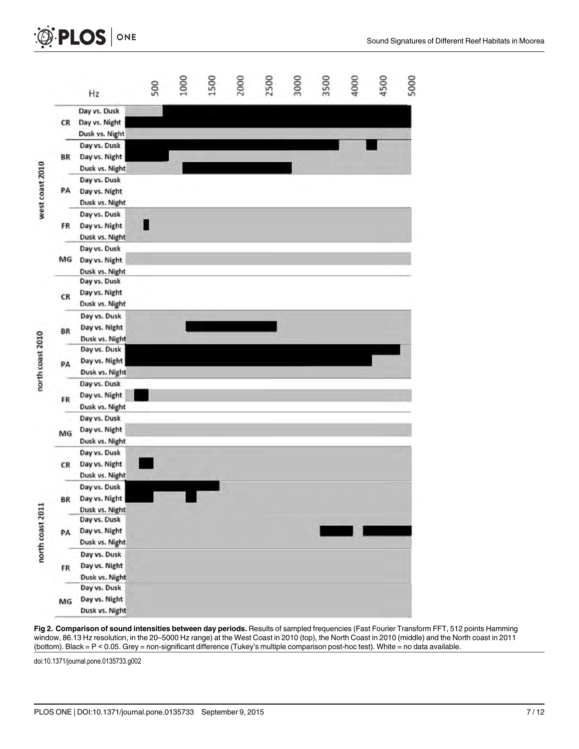<span id="page-6-0"></span>



[Fig 2. C](#page-5-0)omparison of sound intensities between day periods. Results of sampled frequencies (Fast Fourier Transform FFT, 512 points Hamming window, 86.13 Hz resolution, in the 20–5000 Hz range) at the West Coast in 2010 (top), the North Coast in 2010 (middle) and the North coast in 2011 (bottom). Black = P < 0.05. Grey = non-significant difference (Tukey's multiple comparison post-hoc test). White = no data available.

doi:10.1371/journal.pone.0135733.g002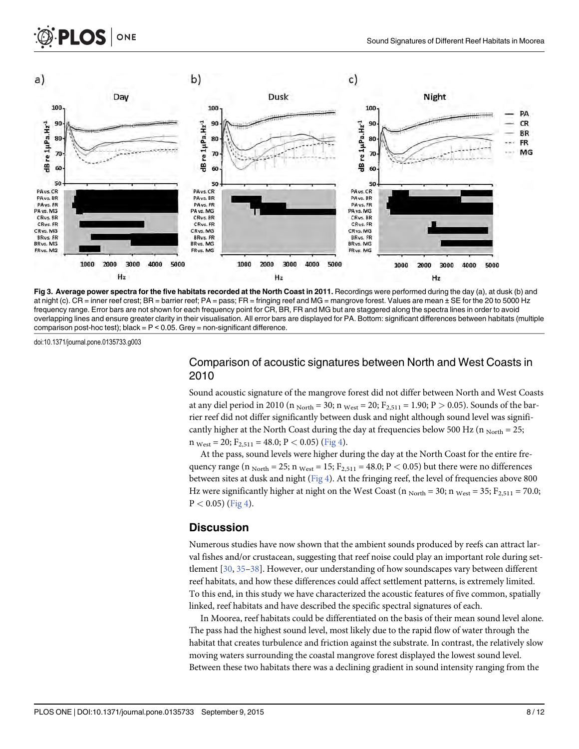<span id="page-7-0"></span>





doi:10.1371/journal.pone.0135733.g003

### Comparison of acoustic signatures between North and West Coasts in 2010

Sound acoustic signature of the mangrove forest did not differ between North and West Coasts at any diel period in 2010 (n  $_{\text{North}} = 30$ ; n  $_{\text{West}} = 20$ ;  $F_{2,511} = 1.90$ ; P  $> 0.05$ ). Sounds of the barrier reef did not differ significantly between dusk and night although sound level was significantly higher at the North Coast during the day at frequencies below 500 Hz ( $n_{\text{North}} = 25$ ;  $n_{\text{West}} = 20$ ;  $F_{2,511} = 48.0$ ;  $P < 0.05$ ) ( $\overline{Fig 4}$  $\overline{Fig 4}$  $\overline{Fig 4}$ ).

At the pass, sound levels were higher during the day at the North Coast for the entire frequency range (n  $_{\text{North}}$  = 25; n  $_{\text{West}}$  = 15; F<sub>2,511</sub> = 48.0; P < 0.05) but there were no differences between sites at dusk and night  $(Fig 4)$  $(Fig 4)$  $(Fig 4)$ . At the fringing reef, the level of frequencies above 800 Hz were significantly higher at night on the West Coast (n  $_{\text{North}}$  = 30; n  $_{\text{West}}$  = 35; F<sub>2,511</sub> = 70.0;  $P < 0.05$ ) [\(Fig 4\)](#page-8-0).

#### **Discussion**

Numerous studies have now shown that the ambient sounds produced by reefs can attract larval fishes and/or crustacean, suggesting that reef noise could play an important role during settlement [\[30,](#page-11-0) [35](#page-11-0)–[38](#page-11-0)]. However, our understanding of how soundscapes vary between different reef habitats, and how these differences could affect settlement patterns, is extremely limited. To this end, in this study we have characterized the acoustic features of five common, spatially linked, reef habitats and have described the specific spectral signatures of each.

In Moorea, reef habitats could be differentiated on the basis of their mean sound level alone. The pass had the highest sound level, most likely due to the rapid flow of water through the habitat that creates turbulence and friction against the substrate. In contrast, the relatively slow moving waters surrounding the coastal mangrove forest displayed the lowest sound level. Between these two habitats there was a declining gradient in sound intensity ranging from the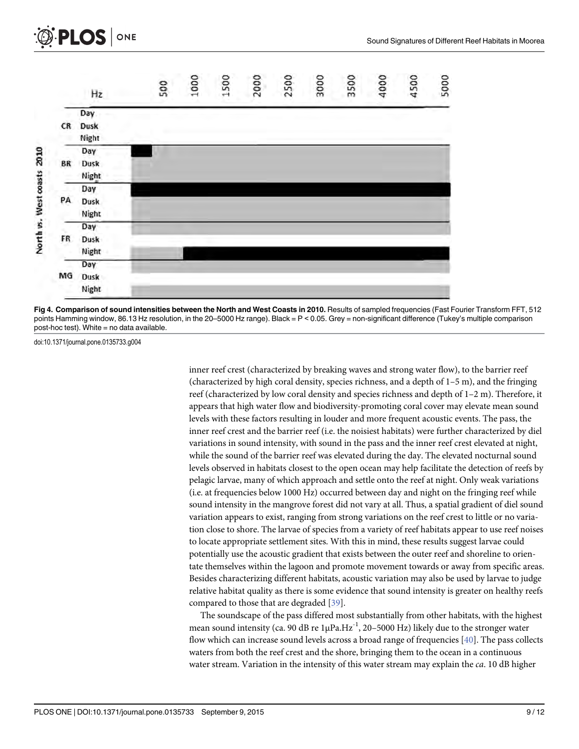<span id="page-8-0"></span>



[Fig 4. C](#page-7-0)omparison of sound intensities between the North and West Coasts in 2010. Results of sampled frequencies (Fast Fourier Transform FFT, 512 points Hamming window, 86.13 Hz resolution, in the 20–5000 Hz range). Black = P < 0.05. Grey = non-significant difference (Tukey's multiple comparison post-hoc test). White = no data available.

doi:10.1371/journal.pone.0135733.g004

inner reef crest (characterized by breaking waves and strong water flow), to the barrier reef (characterized by high coral density, species richness, and a depth of 1–5 m), and the fringing reef (characterized by low coral density and species richness and depth of 1–2 m). Therefore, it appears that high water flow and biodiversity-promoting coral cover may elevate mean sound levels with these factors resulting in louder and more frequent acoustic events. The pass, the inner reef crest and the barrier reef (i.e. the noisiest habitats) were further characterized by diel variations in sound intensity, with sound in the pass and the inner reef crest elevated at night, while the sound of the barrier reef was elevated during the day. The elevated nocturnal sound levels observed in habitats closest to the open ocean may help facilitate the detection of reefs by pelagic larvae, many of which approach and settle onto the reef at night. Only weak variations (i.e. at frequencies below 1000 Hz) occurred between day and night on the fringing reef while sound intensity in the mangrove forest did not vary at all. Thus, a spatial gradient of diel sound variation appears to exist, ranging from strong variations on the reef crest to little or no variation close to shore. The larvae of species from a variety of reef habitats appear to use reef noises to locate appropriate settlement sites. With this in mind, these results suggest larvae could potentially use the acoustic gradient that exists between the outer reef and shoreline to orientate themselves within the lagoon and promote movement towards or away from specific areas. Besides characterizing different habitats, acoustic variation may also be used by larvae to judge relative habitat quality as there is some evidence that sound intensity is greater on healthy reefs compared to those that are degraded [\[39\]](#page-11-0).

The soundscape of the pass differed most substantially from other habitats, with the highest mean sound intensity (ca. 90 dB re  $1\mu Pa.Hz^{-1}$ , 20–5000 Hz) likely due to the stronger water flow which can increase sound levels across a broad range of frequencies [[40\]](#page-11-0). The pass collects waters from both the reef crest and the shore, bringing them to the ocean in a continuous water stream. Variation in the intensity of this water stream may explain the *ca*. 10 dB higher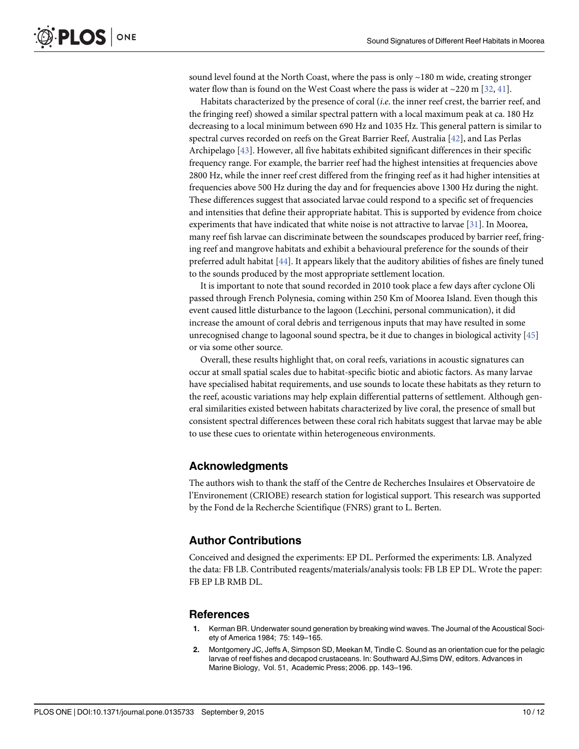<span id="page-9-0"></span>sound level found at the North Coast, where the pass is only  $\sim$  180 m wide, creating stronger water flow than is found on the West Coast where the pass is wider at  $\sim$ 220 m [\[32,](#page-11-0) [41\]](#page-11-0).

Habitats characterized by the presence of coral (i.e. the inner reef crest, the barrier reef, and the fringing reef) showed a similar spectral pattern with a local maximum peak at ca. 180 Hz decreasing to a local minimum between 690 Hz and 1035 Hz. This general pattern is similar to spectral curves recorded on reefs on the Great Barrier Reef, Australia [\[42\]](#page-11-0), and Las Perlas Archipelago [\[43\]](#page-11-0). However, all five habitats exhibited significant differences in their specific frequency range. For example, the barrier reef had the highest intensities at frequencies above 2800 Hz, while the inner reef crest differed from the fringing reef as it had higher intensities at frequencies above 500 Hz during the day and for frequencies above 1300 Hz during the night. These differences suggest that associated larvae could respond to a specific set of frequencies and intensities that define their appropriate habitat. This is supported by evidence from choice experiments that have indicated that white noise is not attractive to larvae [[31](#page-11-0)]. In Moorea, many reef fish larvae can discriminate between the soundscapes produced by barrier reef, fringing reef and mangrove habitats and exhibit a behavioural preference for the sounds of their preferred adult habitat [[44](#page-11-0)]. It appears likely that the auditory abilities of fishes are finely tuned to the sounds produced by the most appropriate settlement location.

It is important to note that sound recorded in 2010 took place a few days after cyclone Oli passed through French Polynesia, coming within 250 Km of Moorea Island. Even though this event caused little disturbance to the lagoon (Lecchini, personal communication), it did increase the amount of coral debris and terrigenous inputs that may have resulted in some unrecognised change to lagoonal sound spectra, be it due to changes in biological activity  $[45]$  $[45]$  $[45]$ or via some other source.

Overall, these results highlight that, on coral reefs, variations in acoustic signatures can occur at small spatial scales due to habitat-specific biotic and abiotic factors. As many larvae have specialised habitat requirements, and use sounds to locate these habitats as they return to the reef, acoustic variations may help explain differential patterns of settlement. Although general similarities existed between habitats characterized by live coral, the presence of small but consistent spectral differences between these coral rich habitats suggest that larvae may be able to use these cues to orientate within heterogeneous environments.

#### Acknowledgments

The authors wish to thank the staff of the Centre de Recherches Insulaires et Observatoire de l'Environement (CRIOBE) research station for logistical support. This research was supported by the Fond de la Recherche Scientifique (FNRS) grant to L. Berten.

#### Author Contributions

Conceived and designed the experiments: EP DL. Performed the experiments: LB. Analyzed the data: FB LB. Contributed reagents/materials/analysis tools: FB LB EP DL. Wrote the paper: FB EP LB RMB DL.

#### References

- [1.](#page-1-0) Kerman BR. Underwater sound generation by breaking wind waves. The Journal of the Acoustical Society of America 1984; 75: 149–165.
- [2.](#page-1-0) Montgomery JC, Jeffs A, Simpson SD, Meekan M, Tindle C. Sound as an orientation cue for the pelagic larvae of reef fishes and decapod crustaceans. In: Southward AJ,Sims DW, editors. Advances in Marine Biology, Vol. 51, Academic Press; 2006. pp. 143–196.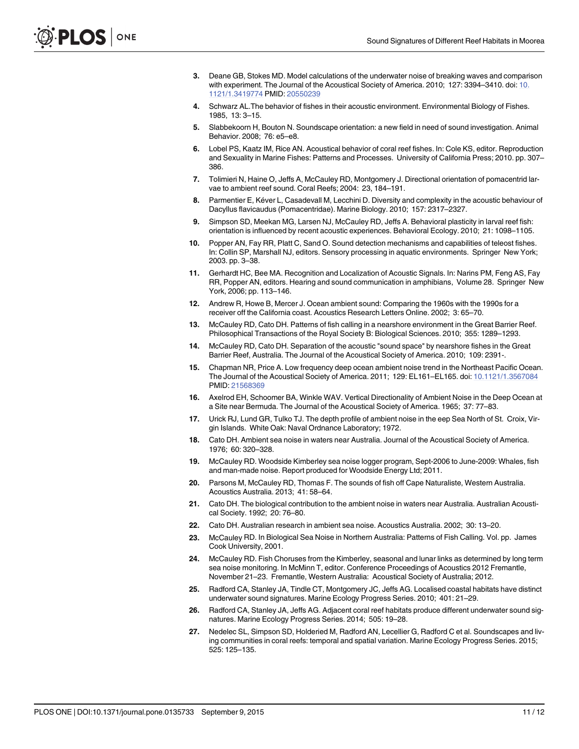- <span id="page-10-0"></span>[3.](#page-1-0) Deane GB, Stokes MD. Model calculations of the underwater noise of breaking waves and comparison with experiment. The Journal of the Acoustical Society of America. 2010; 127: 3394–3410. doi: [10.](http://dx.doi.org/10.1121/1.3419774) [1121/1.3419774](http://dx.doi.org/10.1121/1.3419774) PMID: [20550239](http://www.ncbi.nlm.nih.gov/pubmed/20550239)
- [4.](#page-1-0) Schwarz AL.The behavior of fishes in their acoustic environment. Environmental Biology of Fishes. 1985, 13: 3–15.
- 5. Slabbekoorn H, Bouton N. Soundscape orientation: a new field in need of sound investigation. Animal Behavior. 2008; 76: e5–e8.
- [6.](#page-1-0) Lobel PS, Kaatz IM, Rice AN. Acoustical behavior of coral reef fishes. In: Cole KS, editor. Reproduction and Sexuality in Marine Fishes: Patterns and Processes. University of California Press; 2010. pp. 307– 386.
- 7. Tolimieri N, Haine O, Jeffs A, McCauley RD, Montgomery J. Directional orientation of pomacentrid larvae to ambient reef sound. Coral Reefs; 2004: 23, 184–191.
- 8. Parmentier E, Kéver L, Casadevall M, Lecchini D. Diversity and complexity in the acoustic behaviour of Dacyllus flavicaudus (Pomacentridae). Marine Biology. 2010; 157: 2317–2327.
- [9.](#page-1-0) Simpson SD, Meekan MG, Larsen NJ, McCauley RD, Jeffs A. Behavioral plasticity in larval reef fish: orientation is influenced by recent acoustic experiences. Behavioral Ecology. 2010; 21: 1098–1105.
- [10.](#page-1-0) Popper AN, Fay RR, Platt C, Sand O. Sound detection mechanisms and capabilities of teleost fishes. In: Collin SP, Marshall NJ, editors. Sensory processing in aquatic environments. Springer New York; 2003. pp. 3–38.
- [11.](#page-1-0) Gerhardt HC, Bee MA. Recognition and Localization of Acoustic Signals. In: Narins PM, Feng AS, Fay RR, Popper AN, editors. Hearing and sound communication in amphibians, Volume 28. Springer New York, 2006; pp. 113–146.
- [12.](#page-1-0) Andrew R, Howe B, Mercer J. Ocean ambient sound: Comparing the 1960s with the 1990s for a receiver off the California coast. Acoustics Research Letters Online. 2002; 3: 65–70.
- [13.](#page-1-0) McCauley RD, Cato DH. Patterns of fish calling in a nearshore environment in the Great Barrier Reef. Philosophical Transactions of the Royal Society B: Biological Sciences. 2010; 355: 1289–1293.
- 14. McCauley RD, Cato DH. Separation of the acoustic "sound space" by nearshore fishes in the Great Barrier Reef, Australia. The Journal of the Acoustical Society of America. 2010; 109: 2391-.
- [15.](#page-1-0) Chapman NR, Price A. Low frequency deep ocean ambient noise trend in the Northeast Pacific Ocean. The Journal of the Acoustical Society of America. 2011; 129: EL161–EL165. doi: [10.1121/1.3567084](http://dx.doi.org/10.1121/1.3567084) PMID: [21568369](http://www.ncbi.nlm.nih.gov/pubmed/21568369)
- [16.](#page-1-0) Axelrod EH, Schoomer BA, Winkle WAV. Vertical Directionality of Ambient Noise in the Deep Ocean at a Site near Bermuda. The Journal of the Acoustical Society of America. 1965; 37: 77–83.
- [17.](#page-1-0) Urick RJ, Lund GR, Tulko TJ. The depth profile of ambient noise in the eep Sea North of St. Croix, Virgin Islands. White Oak: Naval Ordnance Laboratory; 1972.
- [18.](#page-1-0) Cato DH. Ambient sea noise in waters near Australia. Journal of the Acoustical Society of America. 1976; 60: 320–328.
- 19. McCauley RD. Woodside Kimberley sea noise logger program, Sept-2006 to June-2009: Whales, fish and man-made noise. Report produced for Woodside Energy Ltd; 2011.
- [20.](#page-1-0) Parsons M, McCauley RD, Thomas F. The sounds of fish off Cape Naturaliste, Western Australia. Acoustics Australia. 2013; 41: 58–64.
- [21.](#page-1-0) Cato DH. The biological contribution to the ambient noise in waters near Australia. Australian Acoustical Society. 1992; 20: 76–80.
- [22.](#page-1-0) Cato DH. Australian research in ambient sea noise. Acoustics Australia. 2002; 30: 13–20.
- [23.](#page-1-0) McCauley RD. In Biological Sea Noise in Northern Australia: Patterns of Fish Calling. Vol. pp. James Cook University, 2001.
- [24.](#page-1-0) McCauley RD. Fish Choruses from the Kimberley, seasonal and lunar links as determined by long term sea noise monitoring. In McMinn T, editor. Conference Proceedings of Acoustics 2012 Fremantle, November 21–23. Fremantle, Western Australia: Acoustical Society of Australia; 2012.
- [25.](#page-1-0) Radford CA, Stanley JA, Tindle CT, Montgomery JC, Jeffs AG. Localised coastal habitats have distinct underwater sound signatures. Marine Ecology Progress Series. 2010; 401: 21–29.
- [26.](#page-1-0) Radford CA, Stanley JA, Jeffs AG. Adjacent coral reef habitats produce different underwater sound signatures. Marine Ecology Progress Series. 2014; 505: 19–28.
- [27.](#page-1-0) Nedelec SL, Simpson SD, Holderied M, Radford AN, Lecellier G, Radford C et al. Soundscapes and living communities in coral reefs: temporal and spatial variation. Marine Ecology Progress Series. 2015; 525: 125–135.